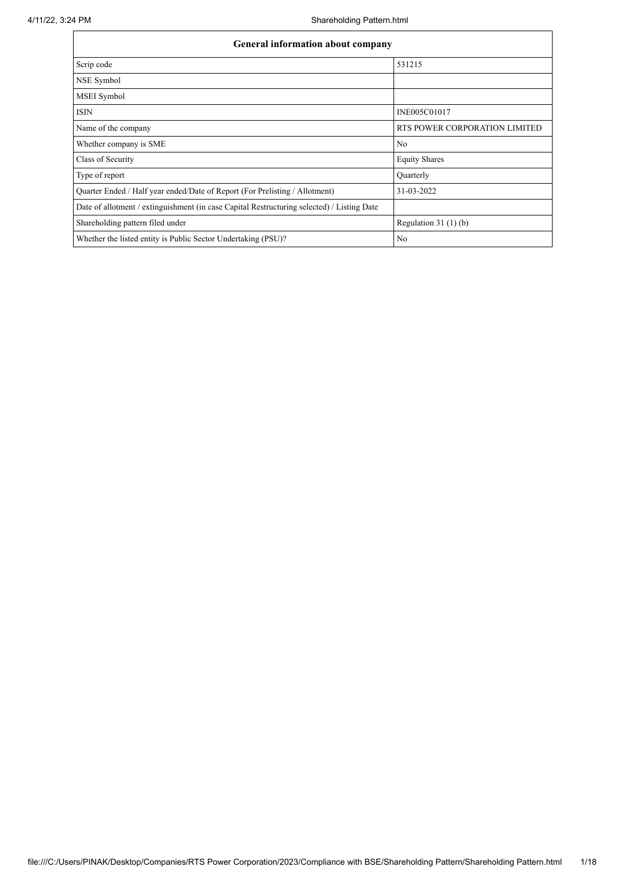| General information about company                                                          |                               |
|--------------------------------------------------------------------------------------------|-------------------------------|
| Scrip code                                                                                 | 531215                        |
| NSE Symbol                                                                                 |                               |
| MSEI Symbol                                                                                |                               |
| <b>ISIN</b>                                                                                | INE005C01017                  |
| Name of the company                                                                        | RTS POWER CORPORATION LIMITED |
| Whether company is SME                                                                     | N <sub>0</sub>                |
| Class of Security                                                                          | <b>Equity Shares</b>          |
| Type of report                                                                             | Quarterly                     |
| Quarter Ended / Half year ended/Date of Report (For Prelisting / Allotment)                | 31-03-2022                    |
| Date of allotment / extinguishment (in case Capital Restructuring selected) / Listing Date |                               |
| Shareholding pattern filed under                                                           | Regulation 31 $(1)(b)$        |
| Whether the listed entity is Public Sector Undertaking (PSU)?                              | N <sub>0</sub>                |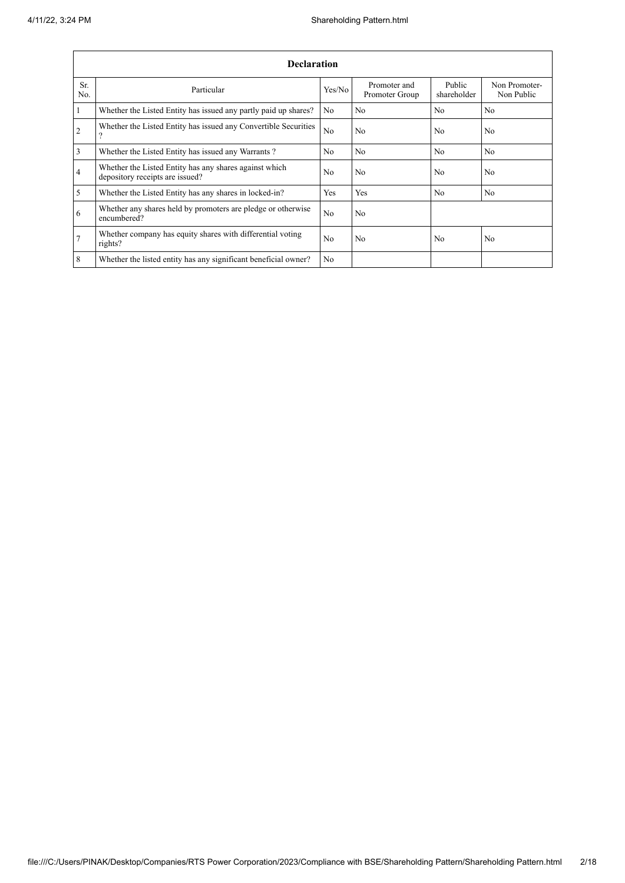|                 | <b>Declaration</b>                                                                        |                |                                |                       |                             |  |  |  |  |  |  |
|-----------------|-------------------------------------------------------------------------------------------|----------------|--------------------------------|-----------------------|-----------------------------|--|--|--|--|--|--|
| Sr.<br>No.      | Particular                                                                                | Yes/No         | Promoter and<br>Promoter Group | Public<br>shareholder | Non Promoter-<br>Non Public |  |  |  |  |  |  |
| $\mathbf{1}$    | Whether the Listed Entity has issued any partly paid up shares?                           | No.            | N <sub>0</sub>                 | No                    | N <sub>0</sub>              |  |  |  |  |  |  |
| 2               | Whether the Listed Entity has issued any Convertible Securities<br>$\mathcal{P}$          | N <sub>0</sub> | N <sub>0</sub>                 | N <sub>0</sub>        | N <sub>0</sub>              |  |  |  |  |  |  |
| $\overline{3}$  | Whether the Listed Entity has issued any Warrants?                                        | N <sub>o</sub> | N <sub>o</sub>                 | No                    | N <sub>0</sub>              |  |  |  |  |  |  |
| $\overline{4}$  | Whether the Listed Entity has any shares against which<br>depository receipts are issued? | N <sub>0</sub> | N <sub>0</sub>                 | N <sub>0</sub>        | N <sub>0</sub>              |  |  |  |  |  |  |
| 5               | Whether the Listed Entity has any shares in locked-in?                                    | Yes            | Yes                            | No                    | N <sub>0</sub>              |  |  |  |  |  |  |
| 6               | Whether any shares held by promoters are pledge or otherwise<br>encumbered?               | N <sub>0</sub> | N <sub>o</sub>                 |                       |                             |  |  |  |  |  |  |
| $7\overline{ }$ | Whether company has equity shares with differential voting<br>rights?                     | N <sub>0</sub> | N <sub>0</sub>                 | N <sub>0</sub>        | N <sub>0</sub>              |  |  |  |  |  |  |
| 8               | Whether the listed entity has any significant beneficial owner?                           | N <sub>o</sub> |                                |                       |                             |  |  |  |  |  |  |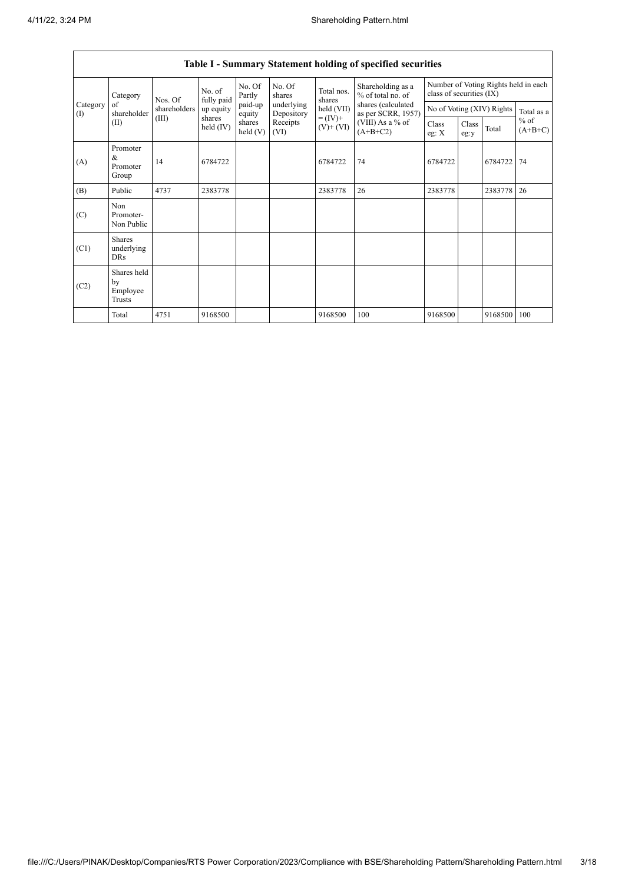$\mathsf{I}$ 

|                      |                                           |                   |                       |                   |                          |                                    | Table I - Summary Statement holding of specified securities |                          |               |                           |                                      |
|----------------------|-------------------------------------------|-------------------|-----------------------|-------------------|--------------------------|------------------------------------|-------------------------------------------------------------|--------------------------|---------------|---------------------------|--------------------------------------|
|                      | Category<br>of<br>shareholder<br>(II)     | No. of<br>Nos. Of | fully paid            | No. Of<br>Partly  | No. Of<br>shares         | Total nos.<br>shares<br>held (VII) | Shareholding as a<br>% of total no. of                      | class of securities (IX) |               |                           | Number of Voting Rights held in each |
| Category<br>$\rm(D)$ |                                           | shareholders      | up equity             | paid-up<br>equity | underlying<br>Depository |                                    | shares (calculated<br>as per SCRR, 1957)                    |                          |               | No of Voting (XIV) Rights | Total as a                           |
|                      |                                           | (III)             | shares<br>held $(IV)$ | shares<br>held(V) | Receipts<br>(VI)         | $= (IV) +$<br>$(V)$ + $(VI)$       | (VIII) As a % of<br>$(A+B+C2)$                              | Class<br>eg: $X$         | Class<br>eg:y | Total                     | $%$ of<br>$(A+B+C)$                  |
| (A)                  | Promoter<br>&<br>Promoter<br>Group        | 14                | 6784722               |                   |                          | 6784722                            | 74                                                          | 6784722                  |               | 6784722                   | 74                                   |
| (B)                  | Public                                    | 4737              | 2383778               |                   |                          | 2383778                            | 26                                                          | 2383778                  |               | 2383778                   | 26                                   |
| (C)                  | Non<br>Promoter-<br>Non Public            |                   |                       |                   |                          |                                    |                                                             |                          |               |                           |                                      |
| (C1)                 | <b>Shares</b><br>underlying<br><b>DRs</b> |                   |                       |                   |                          |                                    |                                                             |                          |               |                           |                                      |
| (C2)                 | Shares held<br>by<br>Employee<br>Trusts   |                   |                       |                   |                          |                                    |                                                             |                          |               |                           |                                      |
|                      | Total                                     | 4751              | 9168500               |                   |                          | 9168500                            | 100                                                         | 9168500                  |               | 9168500                   | 100                                  |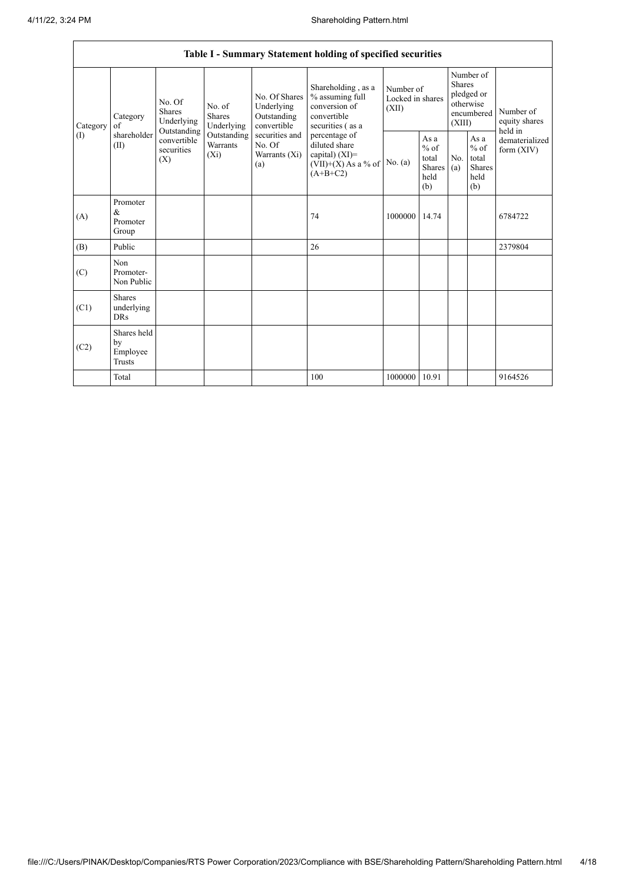|              | Table I - Summary Statement holding of specified securities |                                                                                |                                    |                                                           |                                                                                            |                                        |                                                                               |            |                                                         |                                    |                |
|--------------|-------------------------------------------------------------|--------------------------------------------------------------------------------|------------------------------------|-----------------------------------------------------------|--------------------------------------------------------------------------------------------|----------------------------------------|-------------------------------------------------------------------------------|------------|---------------------------------------------------------|------------------------------------|----------------|
| Category     | Category<br>of                                              | No. Of<br>No. of<br><b>Shares</b><br><b>Shares</b><br>Underlying<br>Underlying |                                    | No. Of Shares<br>Underlying<br>Outstanding<br>convertible | Shareholding, as a<br>% assuming full<br>conversion of<br>convertible<br>securities (as a  | Number of<br>Locked in shares<br>(XII) | Number of<br><b>Shares</b><br>pledged or<br>otherwise<br>encumbered<br>(XIII) |            | Number of<br>equity shares                              |                                    |                |
| $($ $\Gamma$ | shareholder<br>(II)                                         | Outstanding<br>convertible<br>securities<br>(X)                                | Outstanding<br>Warrants<br>$(X_i)$ | securities and<br>No. Of<br>Warrants (Xi)<br>(a)          | percentage of<br>diluted share<br>capital) $(XI)$ =<br>$(VII)+(X)$ As a % of<br>$(A+B+C2)$ | No. (a)                                | As a<br>$%$ of<br>total<br><b>Shares</b><br>held<br>(b)                       | No.<br>(a) | As a<br>$%$ of<br>total<br><b>Shares</b><br>held<br>(b) | held in<br>form $(XIV)$<br>6784722 | dematerialized |
| (A)          | Promoter<br>&<br>Promoter<br>Group                          |                                                                                |                                    |                                                           | 74                                                                                         | 1000000                                | 14.74                                                                         |            |                                                         |                                    |                |
| (B)          | Public                                                      |                                                                                |                                    |                                                           | 26                                                                                         |                                        |                                                                               |            |                                                         | 2379804                            |                |
| (C)          | Non<br>Promoter-<br>Non Public                              |                                                                                |                                    |                                                           |                                                                                            |                                        |                                                                               |            |                                                         |                                    |                |
| (C1)         | <b>Shares</b><br>underlying<br><b>DRs</b>                   |                                                                                |                                    |                                                           |                                                                                            |                                        |                                                                               |            |                                                         |                                    |                |
| (C2)         | Shares held<br>by<br>Employee<br>Trusts                     |                                                                                |                                    |                                                           |                                                                                            |                                        |                                                                               |            |                                                         |                                    |                |
|              | Total                                                       |                                                                                |                                    |                                                           | 100                                                                                        | 1000000                                | 10.91                                                                         |            |                                                         | 9164526                            |                |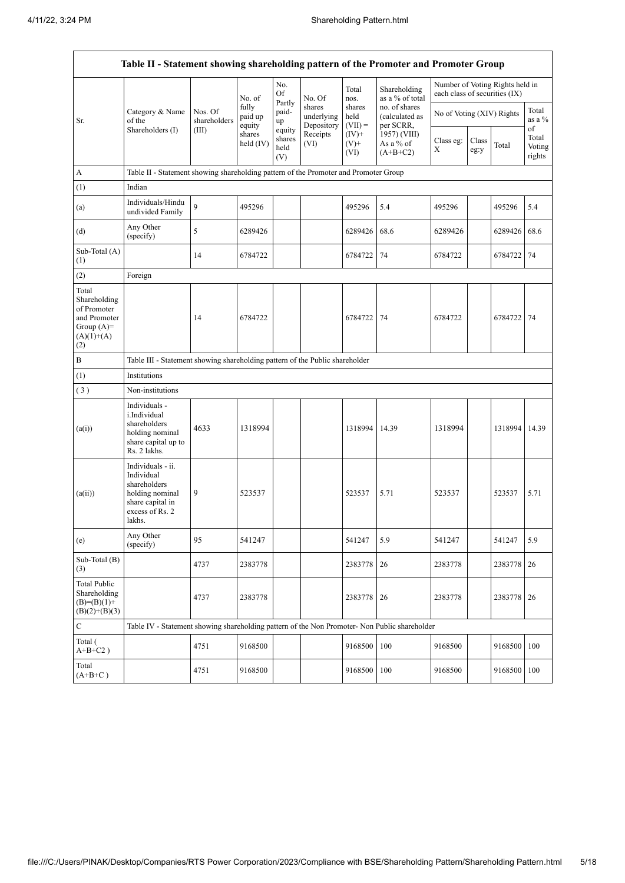|                                                                                              | Table II - Statement showing shareholding pattern of the Promoter and Promoter Group                                |                         |                            |                                                     |                                    |                             |                                              |                               |               |                                 |                                 |  |
|----------------------------------------------------------------------------------------------|---------------------------------------------------------------------------------------------------------------------|-------------------------|----------------------------|-----------------------------------------------------|------------------------------------|-----------------------------|----------------------------------------------|-------------------------------|---------------|---------------------------------|---------------------------------|--|
|                                                                                              |                                                                                                                     |                         | No. of                     | No.<br>Of                                           | No. Of                             | Total<br>nos.               | Shareholding<br>as a % of total              | each class of securities (IX) |               | Number of Voting Rights held in |                                 |  |
| Sr.                                                                                          | Category & Name<br>of the                                                                                           | Nos. Of<br>shareholders | fully<br>paid up<br>equity | Partly<br>paid-<br>up                               | shares<br>underlying<br>Depository | shares<br>held<br>$(VII) =$ | no. of shares<br>(calculated as<br>per SCRR, | No of Voting (XIV) Rights     |               |                                 | Total<br>as a %                 |  |
|                                                                                              | Shareholders (I)                                                                                                    | (III)                   | shares<br>held (IV)        | equity<br>Receipts<br>shares<br>(VI)<br>held<br>(V) |                                    | $(IV)+$<br>$(V)$ +<br>(VI)  | 1957) (VIII)<br>As a % of<br>$(A+B+C2)$      | Class eg:<br>X                | Class<br>eg:y | Total                           | of<br>Total<br>Voting<br>rights |  |
| A                                                                                            | Table II - Statement showing shareholding pattern of the Promoter and Promoter Group                                |                         |                            |                                                     |                                    |                             |                                              |                               |               |                                 |                                 |  |
| (1)                                                                                          | Indian                                                                                                              |                         |                            |                                                     |                                    |                             |                                              |                               |               |                                 |                                 |  |
| (a)                                                                                          | Individuals/Hindu<br>undivided Family                                                                               | 9                       | 495296                     |                                                     |                                    | 495296                      | 5.4                                          | 495296                        |               | 495296                          | 5.4                             |  |
| (d)                                                                                          | Any Other<br>(specify)                                                                                              | 5                       | 6289426                    |                                                     |                                    | 6289426                     | 68.6                                         | 6289426                       |               | 6289426                         | 68.6                            |  |
| Sub-Total (A)<br>(1)                                                                         |                                                                                                                     | 14                      | 6784722                    |                                                     |                                    | 6784722                     | 74                                           | 6784722                       |               | 6784722                         | 74                              |  |
| (2)                                                                                          | Foreign                                                                                                             |                         |                            |                                                     |                                    |                             |                                              |                               |               |                                 |                                 |  |
| Total<br>Shareholding<br>of Promoter<br>and Promoter<br>Group $(A)$ =<br>$(A)(1)+(A)$<br>(2) |                                                                                                                     | 14                      | 6784722                    |                                                     |                                    | 6784722                     | 74                                           | 6784722                       |               | 6784722                         | 74                              |  |
| $\, {\bf B}$                                                                                 | Table III - Statement showing shareholding pattern of the Public shareholder                                        |                         |                            |                                                     |                                    |                             |                                              |                               |               |                                 |                                 |  |
| (1)                                                                                          | Institutions                                                                                                        |                         |                            |                                                     |                                    |                             |                                              |                               |               |                                 |                                 |  |
| (3)                                                                                          | Non-institutions                                                                                                    |                         |                            |                                                     |                                    |                             |                                              |                               |               |                                 |                                 |  |
| (a(i))                                                                                       | Individuals -<br>i.Individual<br>shareholders<br>holding nominal<br>share capital up to<br>Rs. 2 lakhs.             | 4633                    | 1318994                    |                                                     |                                    | 1318994                     | 14.39                                        | 1318994                       |               | 1318994 14.39                   |                                 |  |
| (a(ii))                                                                                      | Individuals - ii.<br>Individual<br>shareholders<br>holding nominal<br>share capital in<br>excess of Rs. 2<br>lakhs. | 9                       | 523537                     |                                                     |                                    | 523537                      | 5.71                                         | 523537                        |               | 523537                          | 5.71                            |  |
| (e)                                                                                          | Any Other<br>(specify)                                                                                              | 95                      | 541247                     |                                                     |                                    | 541247                      | 5.9                                          | 541247                        |               | 541247                          | 5.9                             |  |
| Sub-Total (B)<br>(3)                                                                         |                                                                                                                     | 4737                    | 2383778                    |                                                     |                                    | 2383778                     | 26                                           | 2383778                       |               | 2383778                         | 26                              |  |
| <b>Total Public</b><br>Shareholding<br>$(B)=(B)(1)+$<br>$(B)(2)+(B)(3)$                      |                                                                                                                     | 4737                    | 2383778                    |                                                     |                                    | 2383778                     | 26                                           | 2383778                       |               | 2383778                         | 26                              |  |
| $\mathbf C$                                                                                  | Table IV - Statement showing shareholding pattern of the Non Promoter- Non Public shareholder                       |                         |                            |                                                     |                                    |                             |                                              |                               |               |                                 |                                 |  |
| Total (<br>$A+B+C2$ )                                                                        |                                                                                                                     | 4751                    | 9168500                    |                                                     |                                    | 9168500                     | 100                                          | 9168500                       |               | 9168500                         | 100                             |  |
| Total<br>$(A+B+C)$                                                                           |                                                                                                                     | 4751                    | 9168500                    |                                                     |                                    | 9168500                     | 100                                          | 9168500                       |               | 9168500                         | 100                             |  |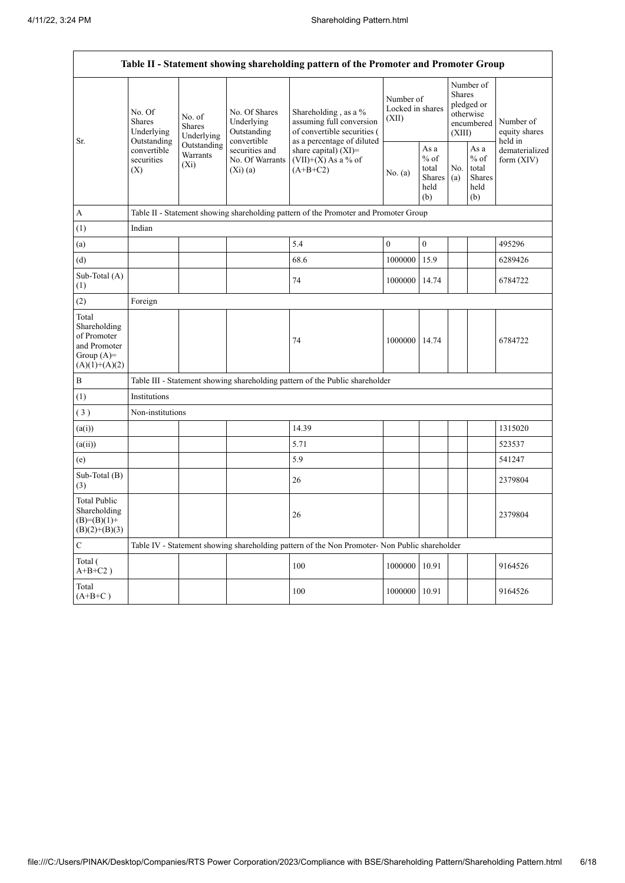|                                                                                         | Table II - Statement showing shareholding pattern of the Promoter and Promoter Group |                                                                                               |                                                                |                                                                                              |                                        |                                                         |                                                                               |                                                         |                                         |  |  |
|-----------------------------------------------------------------------------------------|--------------------------------------------------------------------------------------|-----------------------------------------------------------------------------------------------|----------------------------------------------------------------|----------------------------------------------------------------------------------------------|----------------------------------------|---------------------------------------------------------|-------------------------------------------------------------------------------|---------------------------------------------------------|-----------------------------------------|--|--|
|                                                                                         | No. Of<br><b>Shares</b><br>Underlying                                                | No. Of Shares<br>No. of<br>Underlying<br><b>Shares</b><br>Outstanding<br>Underlying           |                                                                | Shareholding, as a %<br>assuming full conversion<br>of convertible securities (              | Number of<br>Locked in shares<br>(XII) |                                                         | Number of<br><b>Shares</b><br>pledged or<br>otherwise<br>encumbered<br>(XIII) |                                                         | Number of<br>equity shares              |  |  |
| Sr.                                                                                     | Outstanding<br>convertible<br>securities<br>(X)                                      | Outstanding<br>Warrants<br>$(X_i)$                                                            | convertible<br>securities and<br>No. Of Warrants<br>$(Xi)$ (a) | as a percentage of diluted<br>share capital) $(XI)$ =<br>$(VII)+(X)$ As a % of<br>$(A+B+C2)$ | No. (a)                                | As a<br>$%$ of<br>total<br><b>Shares</b><br>held<br>(b) | No.<br>(a)                                                                    | As a<br>$%$ of<br>total<br><b>Shares</b><br>held<br>(b) | held in<br>dematerialized<br>form (XIV) |  |  |
| A                                                                                       |                                                                                      | Table II - Statement showing shareholding pattern of the Promoter and Promoter Group          |                                                                |                                                                                              |                                        |                                                         |                                                                               |                                                         |                                         |  |  |
| (1)                                                                                     | Indian                                                                               |                                                                                               |                                                                |                                                                                              |                                        |                                                         |                                                                               |                                                         |                                         |  |  |
| (a)                                                                                     |                                                                                      |                                                                                               |                                                                | 5.4                                                                                          | $\boldsymbol{0}$                       | $\boldsymbol{0}$                                        |                                                                               |                                                         | 495296                                  |  |  |
| (d)                                                                                     |                                                                                      |                                                                                               |                                                                | 68.6                                                                                         | 1000000                                | 15.9                                                    |                                                                               |                                                         | 6289426                                 |  |  |
| Sub-Total (A)<br>(1)                                                                    |                                                                                      |                                                                                               |                                                                | 74                                                                                           | 1000000                                | 14.74                                                   |                                                                               |                                                         | 6784722                                 |  |  |
| (2)                                                                                     | Foreign                                                                              |                                                                                               |                                                                |                                                                                              |                                        |                                                         |                                                                               |                                                         |                                         |  |  |
| Total<br>Shareholding<br>of Promoter<br>and Promoter<br>Group $(A)=$<br>$(A)(1)+(A)(2)$ |                                                                                      |                                                                                               |                                                                | 74                                                                                           | 1000000                                | 14.74                                                   |                                                                               |                                                         | 6784722                                 |  |  |
| B                                                                                       |                                                                                      |                                                                                               |                                                                | Table III - Statement showing shareholding pattern of the Public shareholder                 |                                        |                                                         |                                                                               |                                                         |                                         |  |  |
| (1)                                                                                     | Institutions                                                                         |                                                                                               |                                                                |                                                                                              |                                        |                                                         |                                                                               |                                                         |                                         |  |  |
| (3)                                                                                     | Non-institutions                                                                     |                                                                                               |                                                                |                                                                                              |                                        |                                                         |                                                                               |                                                         |                                         |  |  |
| (a(i))                                                                                  |                                                                                      |                                                                                               |                                                                | 14.39                                                                                        |                                        |                                                         |                                                                               |                                                         | 1315020                                 |  |  |
| (a(ii))                                                                                 |                                                                                      |                                                                                               |                                                                | 5.71                                                                                         |                                        |                                                         |                                                                               |                                                         | 523537                                  |  |  |
| (e)                                                                                     |                                                                                      |                                                                                               |                                                                | 5.9                                                                                          |                                        |                                                         |                                                                               |                                                         | 541247                                  |  |  |
| Sub-Total (B)<br>(3)                                                                    |                                                                                      |                                                                                               |                                                                | 26                                                                                           |                                        |                                                         |                                                                               |                                                         | 2379804                                 |  |  |
| Total Public<br>Shareholding<br>(B)=(B)(1)+<br>$(B)(2)+(B)(3)$                          |                                                                                      |                                                                                               |                                                                | 26                                                                                           |                                        |                                                         |                                                                               |                                                         | 2379804                                 |  |  |
| $\mathbf C$                                                                             |                                                                                      | Table IV - Statement showing shareholding pattern of the Non Promoter- Non Public shareholder |                                                                |                                                                                              |                                        |                                                         |                                                                               |                                                         |                                         |  |  |
| Total (<br>$A+B+C2$ )                                                                   |                                                                                      |                                                                                               |                                                                | 100                                                                                          | 1000000                                | 10.91                                                   |                                                                               |                                                         | 9164526                                 |  |  |
| Total<br>$(A+B+C)$                                                                      |                                                                                      |                                                                                               |                                                                | 100                                                                                          | 1000000 10.91                          |                                                         |                                                                               |                                                         | 9164526                                 |  |  |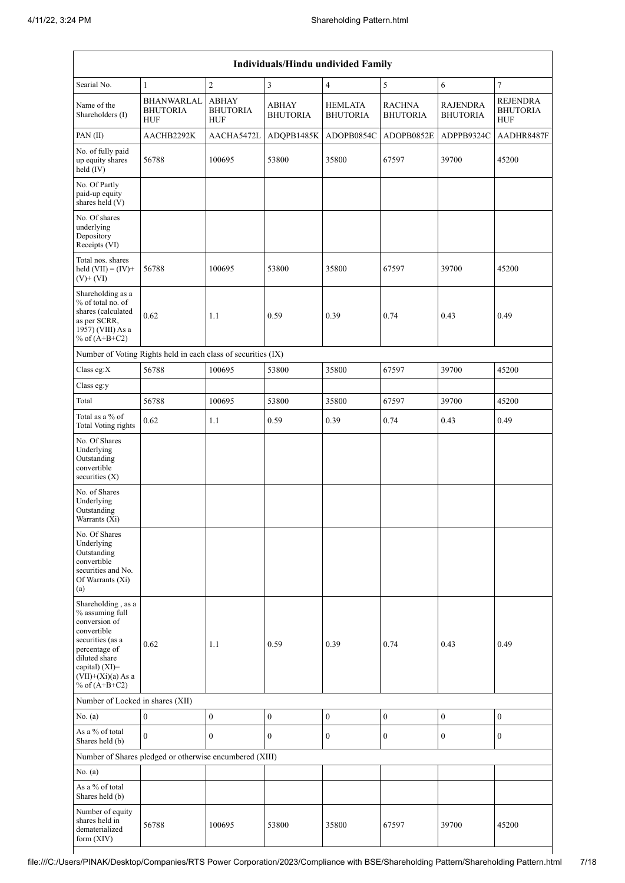|                                                                                                                                                                                          | <b>Individuals/Hindu undivided Family</b>                     |                                               |                                 |                                   |                                  |                                    |                                                  |  |  |  |  |
|------------------------------------------------------------------------------------------------------------------------------------------------------------------------------------------|---------------------------------------------------------------|-----------------------------------------------|---------------------------------|-----------------------------------|----------------------------------|------------------------------------|--------------------------------------------------|--|--|--|--|
| Searial No.                                                                                                                                                                              | $\mathbf{1}$                                                  | $\overline{2}$                                | $\overline{\mathbf{3}}$         | $\overline{4}$                    | 5                                | 6                                  | $\tau$                                           |  |  |  |  |
| Name of the<br>Shareholders (I)                                                                                                                                                          | <b>BHANWARLAL</b><br><b>BHUTORIA</b><br><b>HUF</b>            | <b>ABHAY</b><br><b>BHUTORIA</b><br><b>HUF</b> | <b>ABHAY</b><br><b>BHUTORIA</b> | <b>HEMLATA</b><br><b>BHUTORIA</b> | <b>RACHNA</b><br><b>BHUTORIA</b> | <b>RAJENDRA</b><br><b>BHUTORIA</b> | <b>REJENDRA</b><br><b>BHUTORIA</b><br><b>HUF</b> |  |  |  |  |
| PAN(II)                                                                                                                                                                                  | AACHB2292K                                                    | AACHA5472L                                    | ADQPB1485K                      | ADOPB0854C                        | ADOPB0852E                       | ADPPB9324C                         | AADHR8487F                                       |  |  |  |  |
| No. of fully paid<br>up equity shares<br>held (IV)                                                                                                                                       | 56788                                                         | 100695                                        | 53800                           | 35800                             | 67597                            | 39700                              | 45200                                            |  |  |  |  |
| No. Of Partly<br>paid-up equity<br>shares held $(V)$                                                                                                                                     |                                                               |                                               |                                 |                                   |                                  |                                    |                                                  |  |  |  |  |
| No. Of shares<br>underlying<br>Depository<br>Receipts (VI)                                                                                                                               |                                                               |                                               |                                 |                                   |                                  |                                    |                                                  |  |  |  |  |
| Total nos. shares<br>held $(VII) = (IV) +$<br>$(V)$ + $(VI)$                                                                                                                             | 56788                                                         | 100695                                        | 53800                           | 35800                             | 67597                            | 39700                              | 45200                                            |  |  |  |  |
| Shareholding as a<br>% of total no. of<br>shares (calculated<br>as per SCRR,<br>1957) (VIII) As a<br>% of $(A+B+C2)$                                                                     | 0.62                                                          | 1.1                                           | 0.59                            | 0.39                              | 0.74                             | 0.43                               | 0.49                                             |  |  |  |  |
|                                                                                                                                                                                          | Number of Voting Rights held in each class of securities (IX) |                                               |                                 |                                   |                                  |                                    |                                                  |  |  |  |  |
| Class eg:X                                                                                                                                                                               | 56788                                                         | 100695                                        | 53800                           | 35800                             | 67597                            | 39700                              | 45200                                            |  |  |  |  |
| Class eg:y                                                                                                                                                                               |                                                               |                                               |                                 |                                   |                                  |                                    |                                                  |  |  |  |  |
| Total                                                                                                                                                                                    | 56788                                                         | 100695                                        | 53800                           | 35800                             | 67597                            | 39700                              | 45200                                            |  |  |  |  |
| Total as a % of<br><b>Total Voting rights</b>                                                                                                                                            | 0.62                                                          | 1.1                                           | 0.59                            | 0.39                              | 0.74                             | 0.43                               | 0.49                                             |  |  |  |  |
| No. Of Shares<br>Underlying<br>Outstanding<br>convertible<br>securities $(X)$                                                                                                            |                                                               |                                               |                                 |                                   |                                  |                                    |                                                  |  |  |  |  |
| No. of Shares<br>Underlying<br>Outstanding<br>Warrants (Xi)                                                                                                                              |                                                               |                                               |                                 |                                   |                                  |                                    |                                                  |  |  |  |  |
| No. Of Shares<br>Underlying<br>Outstanding<br>convertible<br>securities and No.<br>Of Warrants (Xi)<br>(a)                                                                               |                                                               |                                               |                                 |                                   |                                  |                                    |                                                  |  |  |  |  |
| Shareholding, as a<br>% assuming full<br>conversion of<br>convertible<br>securities (as a<br>percentage of<br>diluted share<br>capital) (XI)=<br>$(VII)+(Xi)(a)$ As a<br>% of $(A+B+C2)$ | 0.62                                                          | 1.1                                           | 0.59                            | 0.39                              | 0.74                             | 0.43                               | 0.49                                             |  |  |  |  |
| Number of Locked in shares (XII)                                                                                                                                                         |                                                               |                                               |                                 |                                   |                                  |                                    |                                                  |  |  |  |  |
| No. (a)                                                                                                                                                                                  | $\mathbf{0}$                                                  | $\boldsymbol{0}$                              | $\boldsymbol{0}$                | $\boldsymbol{0}$                  | $\boldsymbol{0}$                 | $\boldsymbol{0}$                   | $\boldsymbol{0}$                                 |  |  |  |  |
| As a % of total<br>Shares held (b)                                                                                                                                                       | $\mathbf{0}$                                                  | $\overline{0}$                                | $\boldsymbol{0}$                | $\boldsymbol{0}$                  | $\boldsymbol{0}$                 | $\boldsymbol{0}$                   | $\boldsymbol{0}$                                 |  |  |  |  |
|                                                                                                                                                                                          | Number of Shares pledged or otherwise encumbered (XIII)       |                                               |                                 |                                   |                                  |                                    |                                                  |  |  |  |  |
| No. $(a)$                                                                                                                                                                                |                                                               |                                               |                                 |                                   |                                  |                                    |                                                  |  |  |  |  |
| As a % of total<br>Shares held (b)                                                                                                                                                       |                                                               |                                               |                                 |                                   |                                  |                                    |                                                  |  |  |  |  |
| Number of equity<br>shares held in<br>dematerialized<br>form (XIV)                                                                                                                       | 56788                                                         | 100695                                        | 53800                           | 35800                             | 67597                            | 39700                              | 45200                                            |  |  |  |  |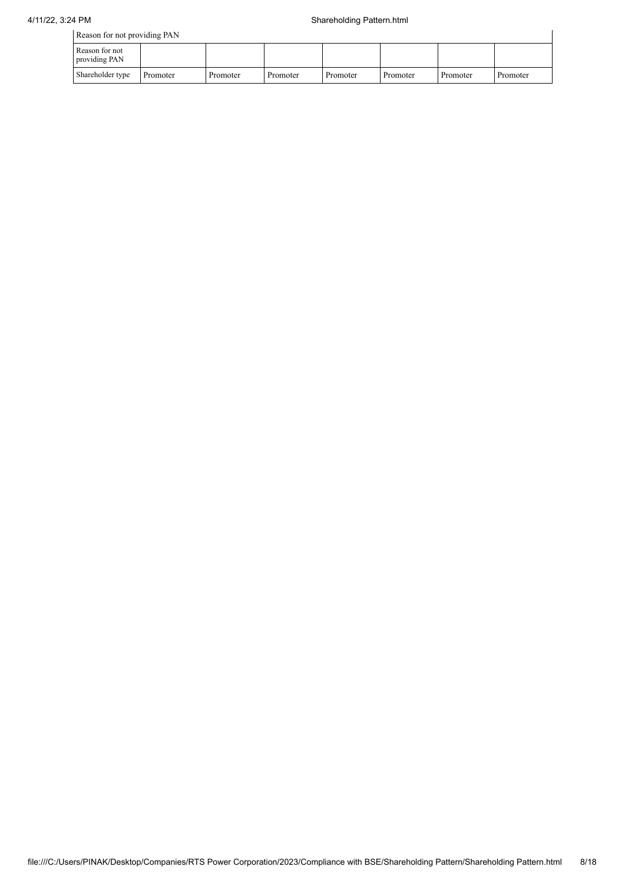| Reason for not providing PAN    |          |          |          |          |          |          |          |  |
|---------------------------------|----------|----------|----------|----------|----------|----------|----------|--|
| Reason for not<br>providing PAN |          |          |          |          |          |          |          |  |
| Shareholder type                | Promoter | Promoter | Promoter | Promoter | Promoter | Promoter | Promoter |  |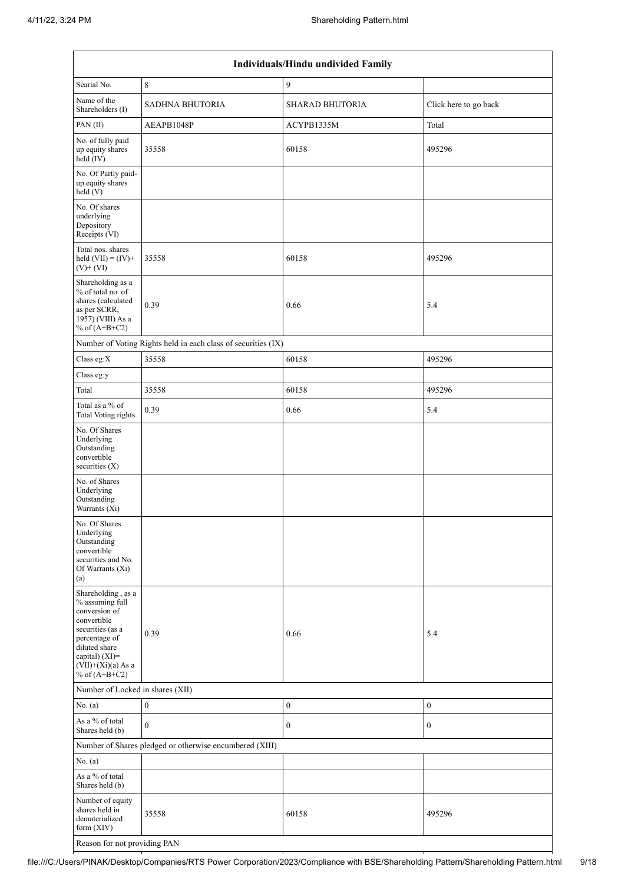|                                                                                                                                                                                             |                                                               | Individuals/Hindu undivided Family |                       |
|---------------------------------------------------------------------------------------------------------------------------------------------------------------------------------------------|---------------------------------------------------------------|------------------------------------|-----------------------|
| Searial No.                                                                                                                                                                                 | $\,8\,$                                                       | 9                                  |                       |
| Name of the<br>Shareholders (I)                                                                                                                                                             | <b>SADHNA BHUTORIA</b>                                        | SHARAD BHUTORIA                    | Click here to go back |
| PAN(II)                                                                                                                                                                                     | AEAPB1048P                                                    | ACYPB1335M                         | Total                 |
| No. of fully paid<br>up equity shares<br>$held$ (IV)                                                                                                                                        | 35558                                                         | 60158                              | 495296                |
| No. Of Partly paid-<br>up equity shares<br>held (V)                                                                                                                                         |                                                               |                                    |                       |
| No. Of shares<br>underlying<br>Depository<br>Receipts (VI)                                                                                                                                  |                                                               |                                    |                       |
| Total nos. shares<br>held $(VII) = (IV) +$<br>$(V)$ + $(VI)$                                                                                                                                | 35558                                                         | 60158                              | 495296                |
| Shareholding as a<br>% of total no. of<br>shares (calculated<br>as per SCRR,<br>1957) (VIII) As a<br>% of $(A+B+C2)$                                                                        | 0.39                                                          | 0.66                               | 5.4                   |
|                                                                                                                                                                                             | Number of Voting Rights held in each class of securities (IX) |                                    |                       |
| Class eg:X                                                                                                                                                                                  | 35558                                                         | 60158                              | 495296                |
| Class eg:y                                                                                                                                                                                  |                                                               |                                    |                       |
| Total                                                                                                                                                                                       | 35558                                                         | 60158                              | 495296                |
| Total as a % of<br>Total Voting rights                                                                                                                                                      | 0.39                                                          | 0.66                               | 5.4                   |
| No. Of Shares<br>Underlying<br>Outstanding<br>convertible<br>securities (X)                                                                                                                 |                                                               |                                    |                       |
| No. of Shares<br>Underlying<br>Outstanding<br>Warrants (Xi)                                                                                                                                 |                                                               |                                    |                       |
| No. Of Shares<br>Underlying<br>Outstanding<br>convertible<br>securities and No.<br>Of Warrants (Xi)<br>(a)                                                                                  |                                                               |                                    |                       |
| Shareholding, as a<br>% assuming full<br>conversion of<br>convertible<br>securities (as a<br>percentage of<br>diluted share<br>capital) $(XI)$ =<br>$(VII)+(Xi)(a)$ As a<br>% of $(A+B+C2)$ | 0.39                                                          | 0.66                               | 5.4                   |
| Number of Locked in shares (XII)                                                                                                                                                            |                                                               |                                    |                       |
| No. (a)                                                                                                                                                                                     | $\boldsymbol{0}$                                              | $\boldsymbol{0}$                   | $\boldsymbol{0}$      |
| As a % of total<br>Shares held (b)                                                                                                                                                          | $\mathbf{0}$                                                  | $\boldsymbol{0}$                   | $\boldsymbol{0}$      |
|                                                                                                                                                                                             | Number of Shares pledged or otherwise encumbered (XIII)       |                                    |                       |
| No. (a)                                                                                                                                                                                     |                                                               |                                    |                       |
| As a % of total<br>Shares held (b)                                                                                                                                                          |                                                               |                                    |                       |
| Number of equity<br>shares held in<br>dematerialized<br>form $(XIV)$                                                                                                                        | 35558                                                         | 60158                              | 495296                |
| Reason for not providing PAN                                                                                                                                                                |                                                               |                                    |                       |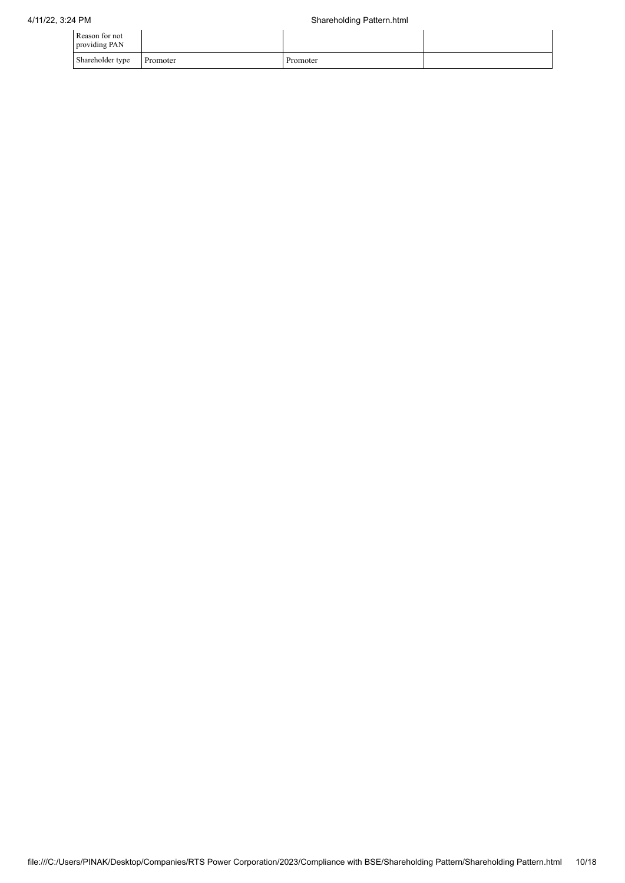| Reason for not<br>providing PAN |          |          |  |
|---------------------------------|----------|----------|--|
| Shareholder type                | Promoter | Promoter |  |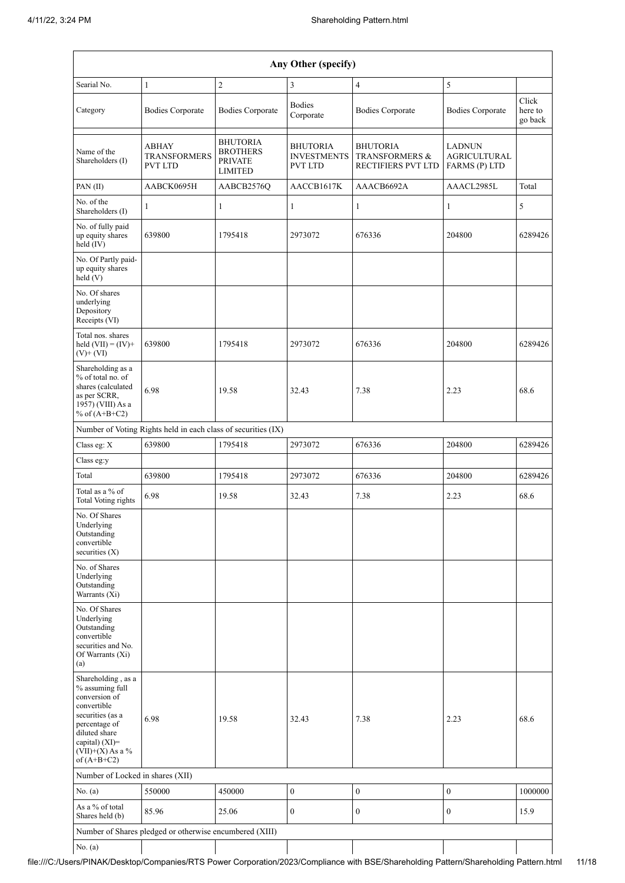|                                                                                                                                                                                         |                                                               |                                                                        | Any Other (specify)                                     |                                                                    |                                                       |                             |
|-----------------------------------------------------------------------------------------------------------------------------------------------------------------------------------------|---------------------------------------------------------------|------------------------------------------------------------------------|---------------------------------------------------------|--------------------------------------------------------------------|-------------------------------------------------------|-----------------------------|
| Searial No.                                                                                                                                                                             | $\mathbf{1}$                                                  | $\overline{2}$                                                         | 3                                                       | $\overline{4}$                                                     | $\sqrt{5}$                                            |                             |
| Category                                                                                                                                                                                | <b>Bodies Corporate</b>                                       | <b>Bodies Corporate</b>                                                | <b>Bodies</b><br>Corporate                              | <b>Bodies Corporate</b>                                            | <b>Bodies Corporate</b>                               | Click<br>here to<br>go back |
| Name of the<br>Shareholders (I)                                                                                                                                                         | <b>ABHAY</b><br><b>TRANSFORMERS</b><br><b>PVT LTD</b>         | <b>BHUTORIA</b><br><b>BROTHERS</b><br><b>PRIVATE</b><br><b>LIMITED</b> | <b>BHUTORIA</b><br><b>INVESTMENTS</b><br><b>PVT LTD</b> | <b>BHUTORIA</b><br><b>TRANSFORMERS &amp;</b><br>RECTIFIERS PVT LTD | <b>LADNUN</b><br><b>AGRICULTURAL</b><br>FARMS (P) LTD |                             |
| PAN (II)                                                                                                                                                                                | AABCK0695H                                                    | AABCB2576O                                                             | AACCB1617K                                              | AAACB6692A                                                         | AAACL2985L                                            | Total                       |
| No. of the<br>Shareholders (I)                                                                                                                                                          | 1                                                             | $\mathbf{1}$                                                           | $\mathbf{1}$                                            | $\mathbf{1}$                                                       | $\mathbf{1}$                                          | 5                           |
| No. of fully paid<br>up equity shares<br>held $(IV)$                                                                                                                                    | 639800                                                        | 1795418                                                                | 2973072                                                 | 676336                                                             | 204800                                                | 6289426                     |
| No. Of Partly paid-<br>up equity shares<br>held (V)                                                                                                                                     |                                                               |                                                                        |                                                         |                                                                    |                                                       |                             |
| No. Of shares<br>underlying<br>Depository<br>Receipts (VI)                                                                                                                              |                                                               |                                                                        |                                                         |                                                                    |                                                       |                             |
| Total nos. shares<br>held $(VII) = (IV) +$<br>$(V)+(VI)$                                                                                                                                | 639800                                                        | 1795418                                                                | 2973072                                                 | 676336                                                             | 204800                                                | 6289426                     |
| Shareholding as a<br>% of total no. of<br>shares (calculated<br>as per SCRR,<br>1957) (VIII) As a<br>% of $(A+B+C2)$                                                                    | 6.98                                                          | 19.58                                                                  | 32.43                                                   | 7.38                                                               | 2.23                                                  | 68.6                        |
|                                                                                                                                                                                         | Number of Voting Rights held in each class of securities (IX) |                                                                        |                                                         |                                                                    |                                                       |                             |
| Class eg: X                                                                                                                                                                             | 639800                                                        | 1795418                                                                | 2973072                                                 | 676336                                                             | 204800                                                | 6289426                     |
| Class eg:y                                                                                                                                                                              |                                                               |                                                                        |                                                         |                                                                    |                                                       |                             |
| Total                                                                                                                                                                                   | 639800                                                        | 1795418                                                                | 2973072                                                 | 676336                                                             | 204800                                                | 6289426                     |
| Total as a % of<br><b>Total Voting rights</b>                                                                                                                                           | 6.98                                                          | 19.58                                                                  | 32.43                                                   | 7.38                                                               | 2.23                                                  | 68.6                        |
| No. Of Shares<br>Underlying<br>Outstanding<br>convertible<br>securities $(X)$                                                                                                           |                                                               |                                                                        |                                                         |                                                                    |                                                       |                             |
| No. of Shares<br>Underlying<br>Outstanding<br>Warrants (Xi)                                                                                                                             |                                                               |                                                                        |                                                         |                                                                    |                                                       |                             |
| No. Of Shares<br>Underlying<br>Outstanding<br>convertible<br>securities and No.<br>Of Warrants (Xi)<br>(a)                                                                              |                                                               |                                                                        |                                                         |                                                                    |                                                       |                             |
| Shareholding, as a<br>% assuming full<br>conversion of<br>convertible<br>securities (as a<br>percentage of<br>diluted share<br>capital) $(XI)$ =<br>$(VII)+(X)$ As a %<br>of $(A+B+C2)$ | 6.98                                                          | 19.58                                                                  | 32.43                                                   | 7.38                                                               | 2.23                                                  | 68.6                        |
| Number of Locked in shares (XII)                                                                                                                                                        |                                                               |                                                                        |                                                         |                                                                    |                                                       |                             |
| No. (a)                                                                                                                                                                                 | 550000                                                        | 450000                                                                 | $\boldsymbol{0}$                                        | $\boldsymbol{0}$                                                   | $\boldsymbol{0}$                                      | 1000000                     |
| As a % of total<br>Shares held (b)                                                                                                                                                      | 85.96                                                         | 25.06                                                                  | $\boldsymbol{0}$                                        | $\boldsymbol{0}$                                                   | $\boldsymbol{0}$                                      | 15.9                        |
|                                                                                                                                                                                         | Number of Shares pledged or otherwise encumbered (XIII)       |                                                                        |                                                         |                                                                    |                                                       |                             |
| No. (a)                                                                                                                                                                                 |                                                               |                                                                        |                                                         |                                                                    |                                                       |                             |

file:///C:/Users/PINAK/Desktop/Companies/RTS Power Corporation/2023/Compliance with BSE/Shareholding Pattern/Shareholding Pattern.html 11/18

 $\overline{\phantom{a}}$ 

 $\mathbf{I}$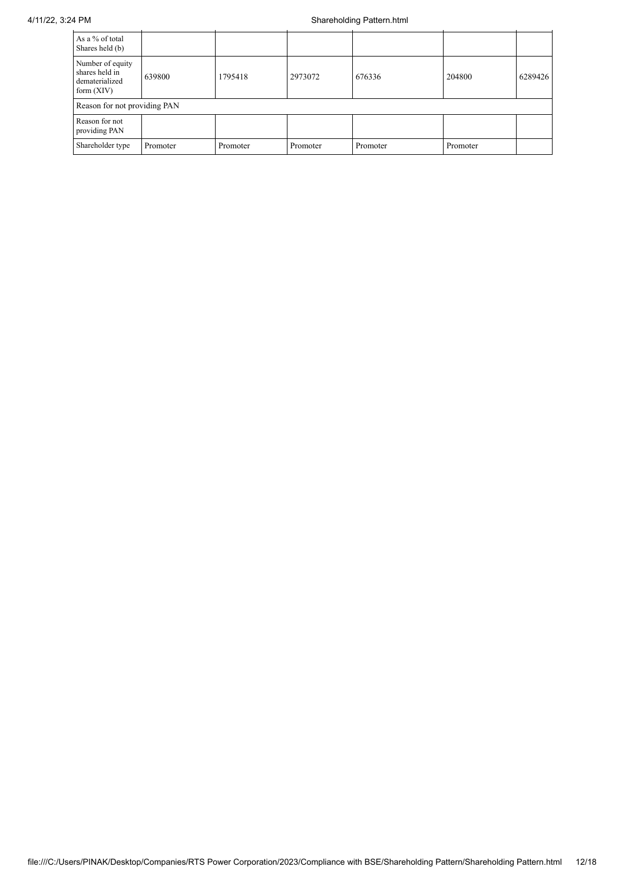| As a % of total<br>Shares held (b)                                   |          |          |          |          |          |         |
|----------------------------------------------------------------------|----------|----------|----------|----------|----------|---------|
| Number of equity<br>shares held in<br>dematerialized<br>form $(XIV)$ | 639800   | 1795418  | 2973072  | 676336   | 204800   | 6289426 |
| Reason for not providing PAN                                         |          |          |          |          |          |         |
| Reason for not<br>providing PAN                                      |          |          |          |          |          |         |
| Shareholder type                                                     | Promoter | Promoter | Promoter | Promoter | Promoter |         |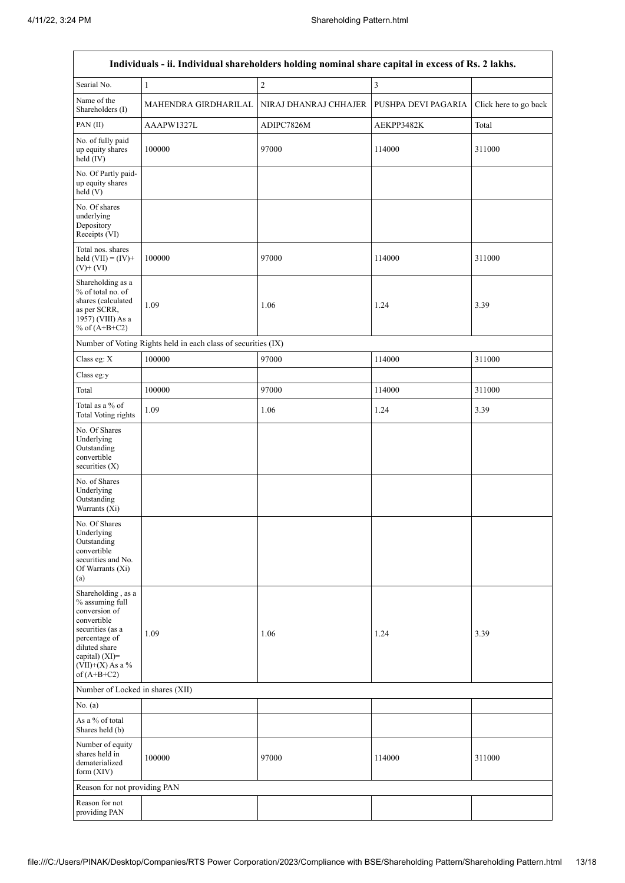$\overline{\phantom{a}}$ 

٦

| Individuals - ii. Individual shareholders holding nominal share capital in excess of Rs. 2 lakhs.                                                                                       |                                                               |                       |                     |                       |  |
|-----------------------------------------------------------------------------------------------------------------------------------------------------------------------------------------|---------------------------------------------------------------|-----------------------|---------------------|-----------------------|--|
| Searial No.                                                                                                                                                                             | $\mathbf{1}$                                                  | $\sqrt{2}$            | $\mathfrak z$       |                       |  |
| Name of the<br>Shareholders (I)                                                                                                                                                         | MAHENDRA GIRDHARILAL                                          | NIRAJ DHANRAJ CHHAJER | PUSHPA DEVI PAGARIA | Click here to go back |  |
| PAN(II)                                                                                                                                                                                 | AAAPW1327L                                                    | ADIPC7826M            | AEKPP3482K          | Total                 |  |
| No. of fully paid<br>up equity shares<br>held (IV)                                                                                                                                      | 100000                                                        | 97000                 | 114000              | 311000                |  |
| No. Of Partly paid-<br>up equity shares<br>held(V)                                                                                                                                      |                                                               |                       |                     |                       |  |
| No. Of shares<br>underlying<br>Depository<br>Receipts (VI)                                                                                                                              |                                                               |                       |                     |                       |  |
| Total nos. shares<br>held $(VII) = (IV) +$<br>$(V)$ + $(VI)$                                                                                                                            | 100000                                                        | 97000                 | 114000              | 311000                |  |
| Shareholding as a<br>% of total no. of<br>shares (calculated<br>as per SCRR,<br>1957) (VIII) As a<br>% of $(A+B+C2)$                                                                    | 1.09                                                          | 1.06                  | 1.24                | 3.39                  |  |
|                                                                                                                                                                                         | Number of Voting Rights held in each class of securities (IX) |                       |                     |                       |  |
| Class eg: X                                                                                                                                                                             | 100000                                                        | 97000                 | 114000              | 311000                |  |
| Class eg:y                                                                                                                                                                              |                                                               |                       |                     |                       |  |
| Total                                                                                                                                                                                   | 100000                                                        | 97000                 | 114000              | 311000                |  |
| Total as a % of<br><b>Total Voting rights</b>                                                                                                                                           | 1.09                                                          | 1.06                  | 1.24                | 3.39                  |  |
| No. Of Shares<br>Underlying<br>Outstanding<br>convertible<br>securities $(X)$                                                                                                           |                                                               |                       |                     |                       |  |
| No. of Shares<br>Underlying<br>Outstanding<br>Warrants (Xi)                                                                                                                             |                                                               |                       |                     |                       |  |
| No. Of Shares<br>Underlying<br>Outstanding<br>convertible<br>securities and No.<br>Of Warrants (Xi)<br>(a)                                                                              |                                                               |                       |                     |                       |  |
| Shareholding, as a<br>% assuming full<br>conversion of<br>convertible<br>securities (as a<br>percentage of<br>diluted share<br>capital) $(XI)$ =<br>$(VII)+(X)$ As a %<br>of $(A+B+C2)$ | 1.09                                                          | 1.06                  | 1.24                | 3.39                  |  |
| Number of Locked in shares (XII)                                                                                                                                                        |                                                               |                       |                     |                       |  |
| No. (a)                                                                                                                                                                                 |                                                               |                       |                     |                       |  |
| As a % of total<br>Shares held (b)                                                                                                                                                      |                                                               |                       |                     |                       |  |
| Number of equity<br>shares held in<br>dematerialized<br>form (XIV)                                                                                                                      | 100000                                                        | 97000                 | 114000              | 311000                |  |
| Reason for not providing PAN                                                                                                                                                            |                                                               |                       |                     |                       |  |
| Reason for not<br>providing PAN                                                                                                                                                         |                                                               |                       |                     |                       |  |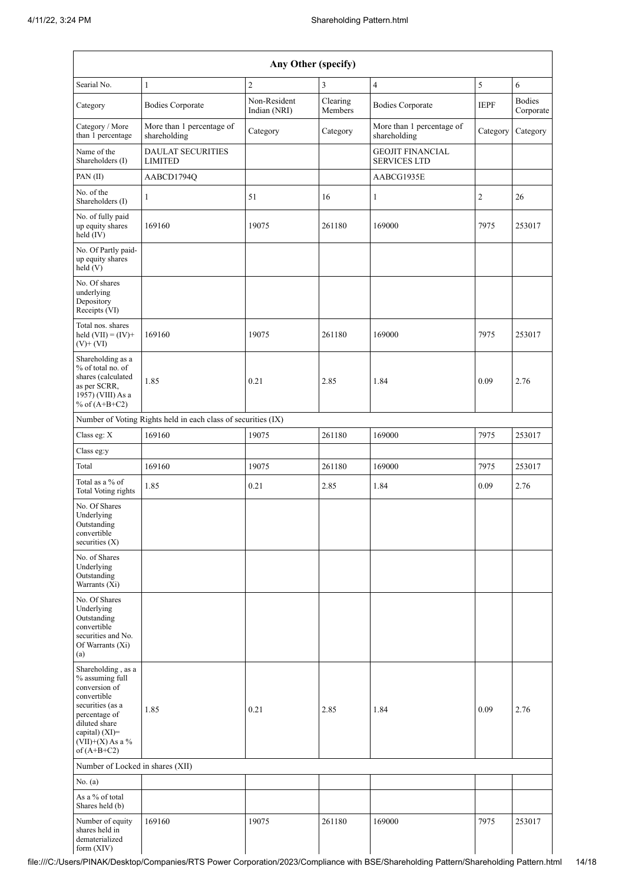| Any Other (specify)                                                                                                                                                                  |                                                               |                              |                     |                                                |             |                            |
|--------------------------------------------------------------------------------------------------------------------------------------------------------------------------------------|---------------------------------------------------------------|------------------------------|---------------------|------------------------------------------------|-------------|----------------------------|
| Searial No.                                                                                                                                                                          | $\mathbf{1}$                                                  | $\overline{2}$               | 3                   | $\overline{4}$                                 | 5           | 6                          |
| Category                                                                                                                                                                             | <b>Bodies Corporate</b>                                       | Non-Resident<br>Indian (NRI) | Clearing<br>Members | <b>Bodies Corporate</b>                        | <b>IEPF</b> | <b>Bodies</b><br>Corporate |
| Category / More<br>than 1 percentage                                                                                                                                                 | More than 1 percentage of<br>shareholding                     | Category                     | Category            | More than 1 percentage of<br>shareholding      | Category    | Category                   |
| Name of the<br>Shareholders (I)                                                                                                                                                      | <b>DAULAT SECURITIES</b><br><b>LIMITED</b>                    |                              |                     | <b>GEOJIT FINANCIAL</b><br><b>SERVICES LTD</b> |             |                            |
| PAN(II)                                                                                                                                                                              | AABCD1794Q                                                    |                              |                     | AABCG1935E                                     |             |                            |
| No. of the<br>Shareholders (I)                                                                                                                                                       | 1                                                             | 51                           | 16                  | $\mathbf{1}$                                   | 2           | 26                         |
| No. of fully paid<br>up equity shares<br>$\text{held}(\text{IV})$                                                                                                                    | 169160                                                        | 19075                        | 261180              | 169000                                         | 7975        | 253017                     |
| No. Of Partly paid-<br>up equity shares<br>held(V)                                                                                                                                   |                                                               |                              |                     |                                                |             |                            |
| No. Of shares<br>underlying<br>Depository<br>Receipts (VI)                                                                                                                           |                                                               |                              |                     |                                                |             |                            |
| Total nos. shares<br>held $(VII) = (IV) +$<br>$(V)+(VI)$                                                                                                                             | 169160                                                        | 19075                        | 261180              | 169000                                         | 7975        | 253017                     |
| Shareholding as a<br>% of total no. of<br>shares (calculated<br>as per SCRR,<br>1957) (VIII) As a<br>% of $(A+B+C2)$                                                                 | 1.85                                                          | 0.21                         | 2.85                | 1.84                                           | 0.09        | 2.76                       |
|                                                                                                                                                                                      | Number of Voting Rights held in each class of securities (IX) |                              |                     |                                                |             |                            |
| Class eg: X                                                                                                                                                                          | 169160                                                        | 19075                        | 261180              | 169000                                         | 7975        | 253017                     |
| Class eg:y                                                                                                                                                                           |                                                               |                              |                     |                                                |             |                            |
| Total                                                                                                                                                                                | 169160                                                        | 19075                        | 261180              | 169000                                         | 7975        | 253017                     |
| Total as a % of<br>Total Voting rights                                                                                                                                               | 1.85                                                          | 0.21                         | 2.85                | 1.84                                           | 0.09        | 2.76                       |
| No. Of Shares<br>Underlying<br>Outstanding<br>convertible<br>securities $(X)$                                                                                                        |                                                               |                              |                     |                                                |             |                            |
| No. of Shares<br>Underlying<br>Outstanding<br>Warrants $(X_i)$                                                                                                                       |                                                               |                              |                     |                                                |             |                            |
| No. Of Shares<br>Underlying<br>Outstanding<br>convertible<br>securities and No.<br>Of Warrants (Xi)<br>(a)                                                                           |                                                               |                              |                     |                                                |             |                            |
| Shareholding, as a<br>% assuming full<br>conversion of<br>convertible<br>securities (as a<br>percentage of<br>diluted share<br>capital) (XI)=<br>$(VII)+(X)$ As a %<br>of $(A+B+C2)$ | 1.85                                                          | 0.21                         | 2.85                | 1.84                                           | 0.09        | 2.76                       |
| Number of Locked in shares (XII)                                                                                                                                                     |                                                               |                              |                     |                                                |             |                            |
| No. $(a)$                                                                                                                                                                            |                                                               |                              |                     |                                                |             |                            |
| As a % of total<br>Shares held (b)                                                                                                                                                   |                                                               |                              |                     |                                                |             |                            |
| Number of equity<br>shares held in<br>dematerialized<br>form (XIV)                                                                                                                   | 169160                                                        | 19075                        | 261180              | 169000                                         | 7975        | 253017                     |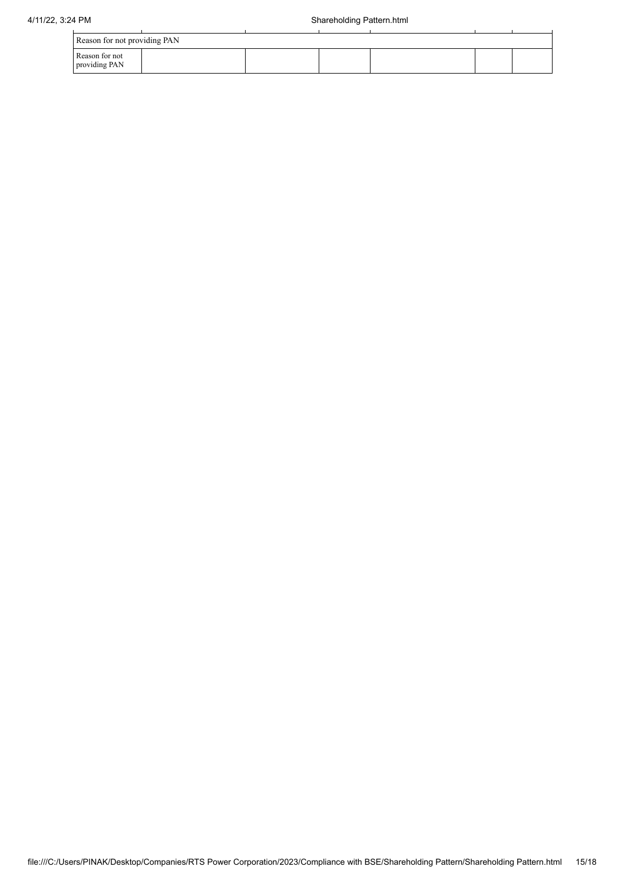| Reason for not providing PAN    |  |  |  |
|---------------------------------|--|--|--|
| Reason for not<br>providing PAN |  |  |  |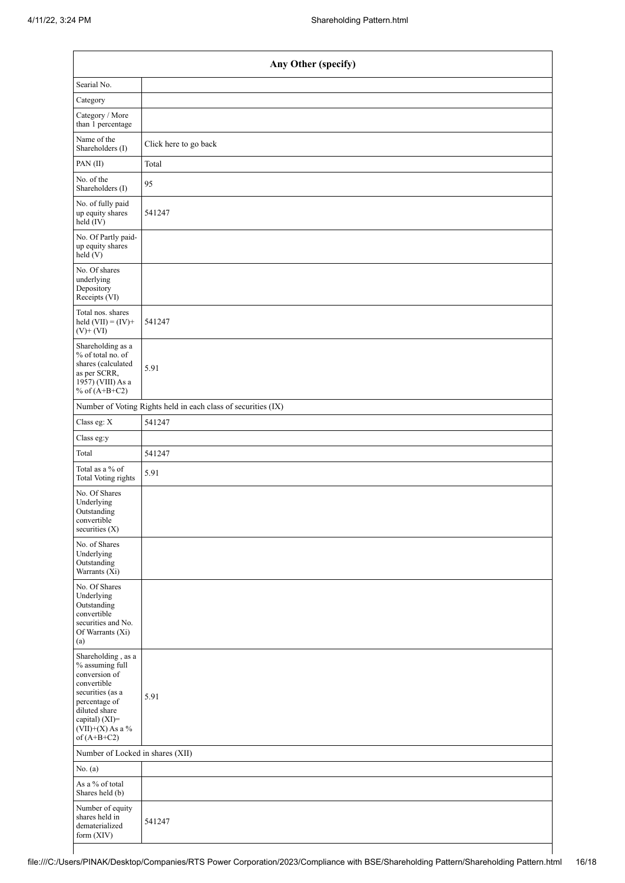| Any Other (specify)                                                                                                                                                                  |                                                               |  |  |  |  |
|--------------------------------------------------------------------------------------------------------------------------------------------------------------------------------------|---------------------------------------------------------------|--|--|--|--|
| Searial No.                                                                                                                                                                          |                                                               |  |  |  |  |
| Category                                                                                                                                                                             |                                                               |  |  |  |  |
| Category / More<br>than 1 percentage                                                                                                                                                 |                                                               |  |  |  |  |
| Name of the<br>Shareholders (I)                                                                                                                                                      | Click here to go back                                         |  |  |  |  |
| PAN(II)                                                                                                                                                                              | Total                                                         |  |  |  |  |
| No. of the<br>Shareholders (I)                                                                                                                                                       | 95                                                            |  |  |  |  |
| No. of fully paid<br>up equity shares<br>held (IV)                                                                                                                                   | 541247                                                        |  |  |  |  |
| No. Of Partly paid-<br>up equity shares<br>held $(V)$                                                                                                                                |                                                               |  |  |  |  |
| No. Of shares<br>underlying<br>Depository<br>Receipts (VI)                                                                                                                           |                                                               |  |  |  |  |
| Total nos. shares<br>held $(VII) = (IV) +$<br>$(V) + (VI)$                                                                                                                           | 541247                                                        |  |  |  |  |
| Shareholding as a<br>% of total no. of<br>shares (calculated<br>as per SCRR,<br>1957) (VIII) As a<br>% of $(A+B+C2)$                                                                 | 5.91                                                          |  |  |  |  |
|                                                                                                                                                                                      | Number of Voting Rights held in each class of securities (IX) |  |  |  |  |
| Class eg: X                                                                                                                                                                          | 541247                                                        |  |  |  |  |
| Class eg:y                                                                                                                                                                           |                                                               |  |  |  |  |
| Total                                                                                                                                                                                | 541247                                                        |  |  |  |  |
| Total as a % of<br><b>Total Voting rights</b>                                                                                                                                        | 5.91                                                          |  |  |  |  |
| No. Of Shares<br>Underlying<br>Outstanding<br>convertible<br>securities (X)                                                                                                          |                                                               |  |  |  |  |
| No. of Shares<br>Underlying<br>Outstanding<br>Warrants (Xi)                                                                                                                          |                                                               |  |  |  |  |
| No. Of Shares<br>Underlying<br>Outstanding<br>convertible<br>securities and No.<br>Of Warrants (Xi)<br>(a)                                                                           |                                                               |  |  |  |  |
| Shareholding, as a<br>% assuming full<br>conversion of<br>convertible<br>securities (as a<br>percentage of<br>diluted share<br>capital) (XI)=<br>$(VII)+(X)$ As a %<br>of $(A+B+C2)$ | 5.91                                                          |  |  |  |  |
| Number of Locked in shares (XII)                                                                                                                                                     |                                                               |  |  |  |  |
| No. (a)                                                                                                                                                                              |                                                               |  |  |  |  |
| As a % of total<br>Shares held (b)                                                                                                                                                   |                                                               |  |  |  |  |
| Number of equity<br>shares held in<br>dematerialized<br>form (XIV)                                                                                                                   | 541247                                                        |  |  |  |  |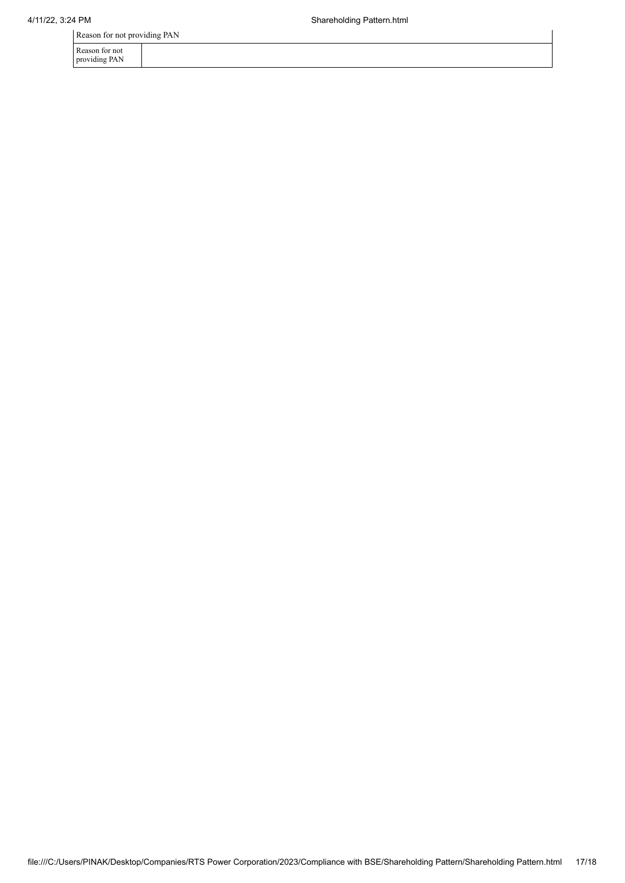Reason for not providing PAN

Reason for not providing PAN